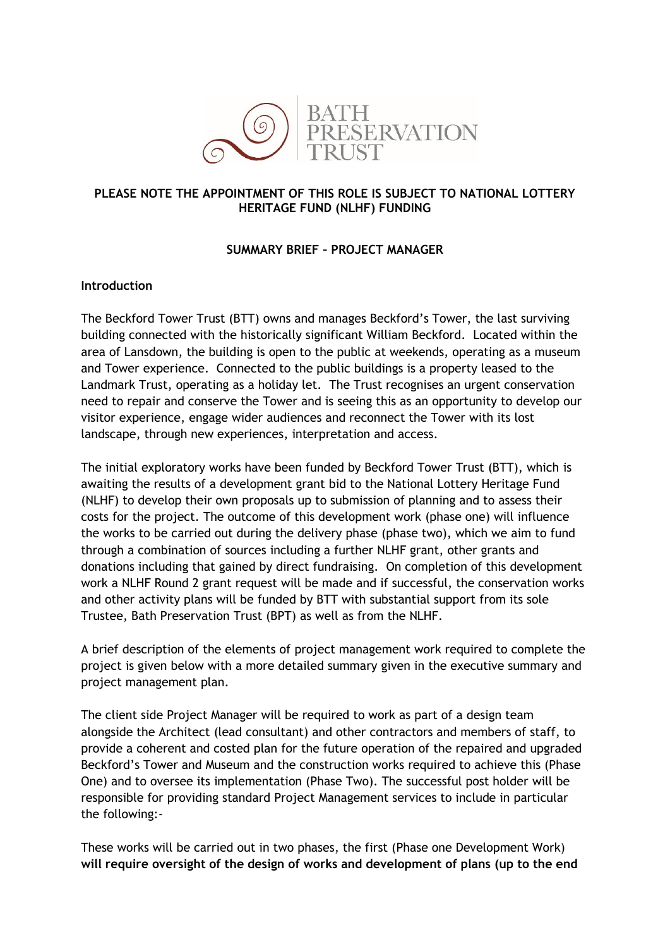

#### **PLEASE NOTE THE APPOINTMENT OF THIS ROLE IS SUBJECT TO NATIONAL LOTTERY HERITAGE FUND (NLHF) FUNDING**

### **SUMMARY BRIEF – PROJECT MANAGER**

#### **Introduction**

The Beckford Tower Trust (BTT) owns and manages Beckford's Tower, the last surviving building connected with the historically significant William Beckford. Located within the area of Lansdown, the building is open to the public at weekends, operating as a museum and Tower experience. Connected to the public buildings is a property leased to the Landmark Trust, operating as a holiday let. The Trust recognises an urgent conservation need to repair and conserve the Tower and is seeing this as an opportunity to develop our visitor experience, engage wider audiences and reconnect the Tower with its lost landscape, through new experiences, interpretation and access.

The initial exploratory works have been funded by Beckford Tower Trust (BTT), which is awaiting the results of a development grant bid to the National Lottery Heritage Fund (NLHF) to develop their own proposals up to submission of planning and to assess their costs for the project. The outcome of this development work (phase one) will influence the works to be carried out during the delivery phase (phase two), which we aim to fund through a combination of sources including a further NLHF grant, other grants and donations including that gained by direct fundraising. On completion of this development work a NLHF Round 2 grant request will be made and if successful, the conservation works and other activity plans will be funded by BTT with substantial support from its sole Trustee, Bath Preservation Trust (BPT) as well as from the NLHF.

A brief description of the elements of project management work required to complete the project is given below with a more detailed summary given in the executive summary and project management plan.

The client side Project Manager will be required to work as part of a design team alongside the Architect (lead consultant) and other contractors and members of staff, to provide a coherent and costed plan for the future operation of the repaired and upgraded Beckford's Tower and Museum and the construction works required to achieve this (Phase One) and to oversee its implementation (Phase Two). The successful post holder will be responsible for providing standard Project Management services to include in particular the following:-

These works will be carried out in two phases, the first (Phase one Development Work) **will require oversight of the design of works and development of plans (up to the end**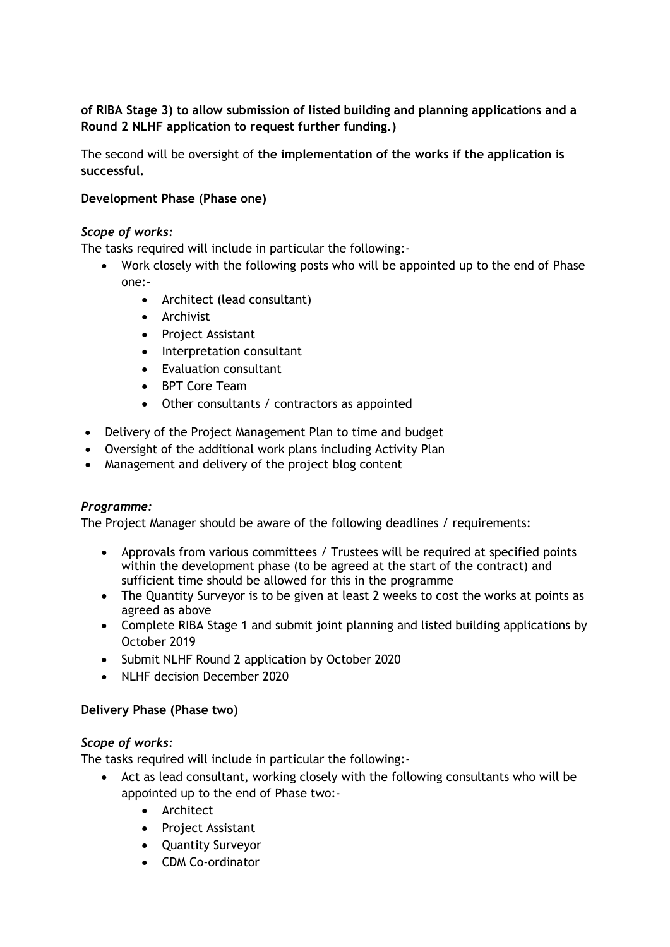**of RIBA Stage 3) to allow submission of listed building and planning applications and a Round 2 NLHF application to request further funding.)**

The second will be oversight of **the implementation of the works if the application is successful.**

### **Development Phase (Phase one)**

### *Scope of works:*

The tasks required will include in particular the following:-

- Work closely with the following posts who will be appointed up to the end of Phase one:-
	- Architect (lead consultant)
	- Archivist
	- Project Assistant
	- Interpretation consultant
	- Evaluation consultant
	- BPT Core Team
	- Other consultants / contractors as appointed
- Delivery of the Project Management Plan to time and budget
- Oversight of the additional work plans including Activity Plan
- Management and delivery of the project blog content

## *Programme:*

The Project Manager should be aware of the following deadlines / requirements:

- Approvals from various committees / Trustees will be required at specified points within the development phase (to be agreed at the start of the contract) and sufficient time should be allowed for this in the programme
- The Quantity Surveyor is to be given at least 2 weeks to cost the works at points as agreed as above
- Complete RIBA Stage 1 and submit joint planning and listed building applications by October 2019
- Submit NLHF Round 2 application by October 2020
- NLHF decision December 2020

#### **Delivery Phase (Phase two)**

#### *Scope of works:*

The tasks required will include in particular the following:-

- Act as lead consultant, working closely with the following consultants who will be appointed up to the end of Phase two:-
	- Architect
	- Project Assistant
	- Quantity Surveyor
	- CDM Co-ordinator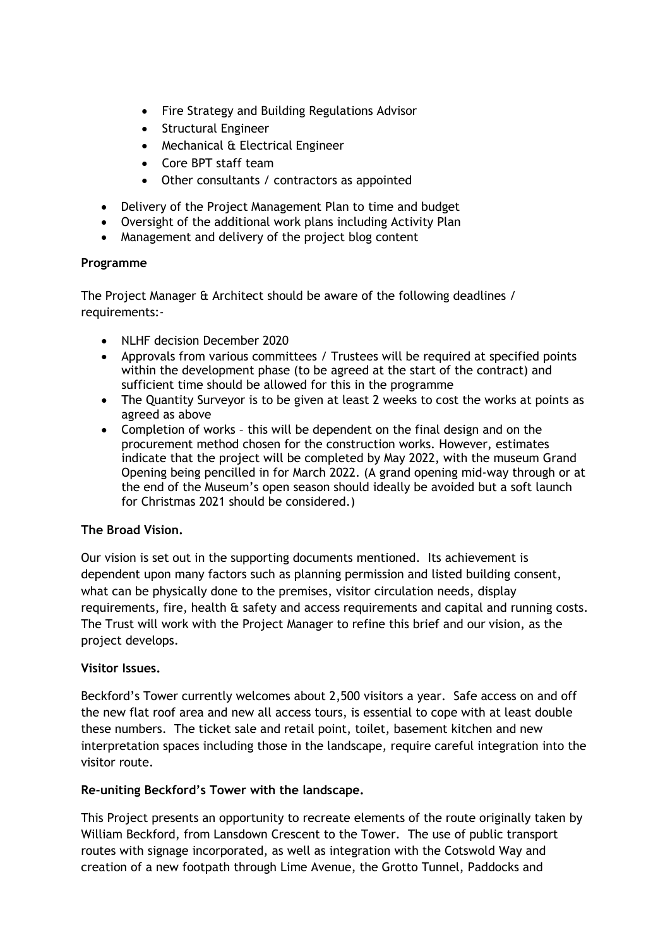- Fire Strategy and Building Regulations Advisor
- Structural Engineer
- Mechanical & Electrical Engineer
- Core BPT staff team
- Other consultants / contractors as appointed
- Delivery of the Project Management Plan to time and budget
- Oversight of the additional work plans including Activity Plan
- Management and delivery of the project blog content

### **Programme**

The Project Manager & Architect should be aware of the following deadlines / requirements:-

- NLHF decision December 2020
- Approvals from various committees / Trustees will be required at specified points within the development phase (to be agreed at the start of the contract) and sufficient time should be allowed for this in the programme
- The Quantity Surveyor is to be given at least 2 weeks to cost the works at points as agreed as above
- Completion of works this will be dependent on the final design and on the procurement method chosen for the construction works. However, estimates indicate that the project will be completed by May 2022, with the museum Grand Opening being pencilled in for March 2022. (A grand opening mid-way through or at the end of the Museum's open season should ideally be avoided but a soft launch for Christmas 2021 should be considered.)

## **The Broad Vision.**

Our vision is set out in the supporting documents mentioned. Its achievement is dependent upon many factors such as planning permission and listed building consent, what can be physically done to the premises, visitor circulation needs, display requirements, fire, health & safety and access requirements and capital and running costs. The Trust will work with the Project Manager to refine this brief and our vision, as the project develops.

## **Visitor Issues.**

Beckford's Tower currently welcomes about 2,500 visitors a year. Safe access on and off the new flat roof area and new all access tours, is essential to cope with at least double these numbers. The ticket sale and retail point, toilet, basement kitchen and new interpretation spaces including those in the landscape, require careful integration into the visitor route.

## **Re-uniting Beckford's Tower with the landscape.**

This Project presents an opportunity to recreate elements of the route originally taken by William Beckford, from Lansdown Crescent to the Tower. The use of public transport routes with signage incorporated, as well as integration with the Cotswold Way and creation of a new footpath through Lime Avenue, the Grotto Tunnel, Paddocks and